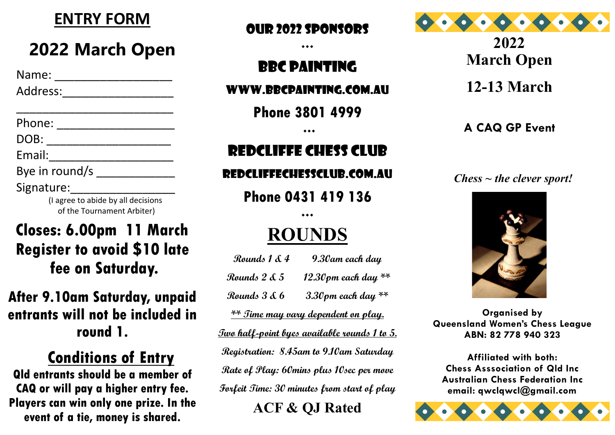

## **2022 March Open**

| Name:          |  |
|----------------|--|
| Address:       |  |
|                |  |
| Phone:         |  |
| DOB:           |  |
| Email:         |  |
| Bye in round/s |  |
| Signature:     |  |

 (I agree to abide by all decisions of the Tournament Arbiter)

### **Closes: 6.00pm 11 March Register to avoid \$10 late fee on Saturday.**

### **After 9.10am Saturday, unpaid entrants will not be included in round 1.**

### **Conditions of Entry**

**Qld entrants should be a member of CAQ or will pay a higher entry fee. Players can win only one prize. In the event of a tie, money is shared.**

#### Our 2022 sponsors

 $\bullet\bullet\bullet$ 

## BBC PAINTING

#### WWW.BBCPAINTING.COM.AU

**Phone 3801 4999**

 $\bullet\bullet\bullet$ 

### REDCLIFFE CHESS CLUB

#### Redcliffechessclub.com.au

**Phone 0431 419 136**

## **ROUNDS**

 $***$ 

| Rounds 1 & 4 | 9.30am each day                                      |
|--------------|------------------------------------------------------|
| Rounds 2 & 5 | 12.30pm each day **                                  |
| Rounds 3 & 6 | 3.30 pm each day $**$                                |
|              | <u>** Time may vary dependent on play.</u>           |
|              | <u> Two half-point byes available rounds 1 to 5.</u> |
|              | Registration: 8.45am to 9.10am Saturday              |
|              | Rate of Play: 60mins plus 10sec per move             |
|              | Forfeit Time: 30 minutes from start of play          |
|              |                                                      |

**ACF & QJ Rated**



**2022 March Open 12-13 March** 

#### **A CAQ GP Event**

#### *Chess ~ the clever sport!*



**Organised by Queensland Women's Chess League ABN: 82 778 940 323**

**Affiliated with both: Chess Asssociation of Qld Inc Australian Chess Federation Inc email: qwclqwcl@gmail.com**